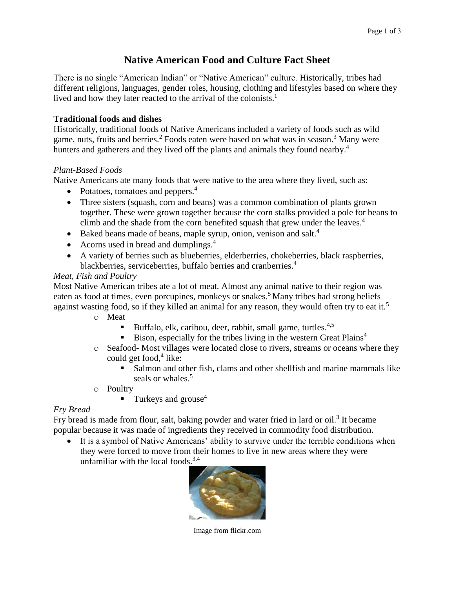# **Native American Food and Culture Fact Sheet**

There is no single "American Indian" or "Native American" culture. Historically, tribes had different religions, languages, gender roles, housing, clothing and lifestyles based on where they lived and how they later reacted to the arrival of the colonists.<sup>1</sup>

## **Traditional foods and dishes**

Historically, traditional foods of Native Americans included a variety of foods such as wild game, nuts, fruits and berries. <sup>2</sup> Foods eaten were based on what was in season. <sup>3</sup> Many were hunters and gatherers and they lived off the plants and animals they found nearby.<sup>4</sup>

## *Plant-Based Foods*

Native Americans ate many foods that were native to the area where they lived, such as:

- Potatoes, tomatoes and peppers.<sup>4</sup>
- Three sisters (squash, corn and beans) was a common combination of plants grown together. These were grown together because the corn stalks provided a pole for beans to climb and the shade from the corn benefited squash that grew under the leaves. 4
- Baked beans made of beans, maple syrup, onion, venison and salt.<sup>4</sup>
- Acorns used in bread and dumplings.<sup>4</sup>
- A variety of berries such as blueberries, elderberries, chokeberries, black raspberries, blackberries, serviceberries, buffalo berries and cranberries.<sup>4</sup>

## *Meat, Fish and Poultry*

Most Native American tribes ate a lot of meat. Almost any animal native to their region was eaten as food at times, even porcupines, monkeys or snakes.<sup>5</sup> Many tribes had strong beliefs against wasting food, so if they killed an animal for any reason, they would often try to eat it.<sup>5</sup>

- o Meat
	- **•** Buffalo, elk, caribou, deer, rabbit, small game, turtles.<sup>4,5</sup>
	- Bison, especially for the tribes living in the western Great Plains<sup>4</sup>
- o Seafood- Most villages were located close to rivers, streams or oceans where they could get food, 4 like:
	- Salmon and other fish, clams and other shellfish and marine mammals like seals or whales.<sup>5</sup>
- o Poultry
	- $\blacksquare$  Turkeys and grouse<sup>4</sup>

## *Fry Bread*

Fry bread is made from flour, salt, baking powder and water fried in lard or oil.<sup>3</sup> It became popular because it was made of ingredients they received in commodity food distribution.

• It is a symbol of Native Americans' ability to survive under the terrible conditions when they were forced to move from their homes to live in new areas where they were unfamiliar with the local foods. $3,4$ 



Image from flickr.com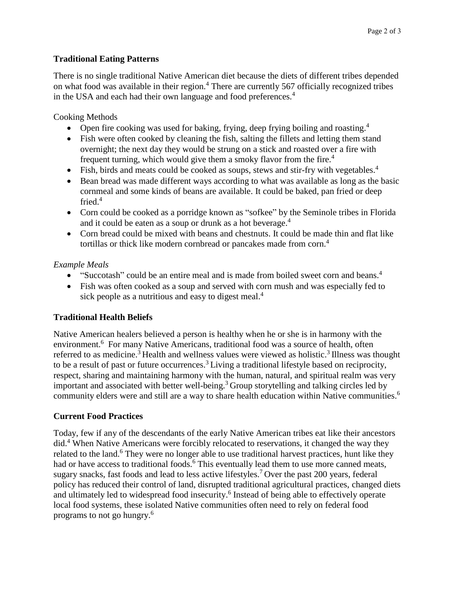### **Traditional Eating Patterns**

There is no single traditional Native American diet because the diets of different tribes depended on what food was available in their region.<sup>4</sup> There are currently 567 officially recognized tribes in the USA and each had their own language and food preferences.<sup>4</sup>

Cooking Methods

- Open fire cooking was used for baking, frying, deep frying boiling and roasting.<sup>4</sup>
- Fish were often cooked by cleaning the fish, salting the fillets and letting them stand overnight; the next day they would be strung on a stick and roasted over a fire with frequent turning, which would give them a smoky flavor from the fire.<sup>4</sup>
- Fish, birds and meats could be cooked as soups, stews and stir-fry with vegetables.<sup>4</sup>
- Bean bread was made different ways according to what was available as long as the basic cornmeal and some kinds of beans are available. It could be baked, pan fried or deep fried. 4
- Corn could be cooked as a porridge known as "sofkee" by the Seminole tribes in Florida and it could be eaten as a soup or drunk as a hot beverage.<sup>4</sup>
- Corn bread could be mixed with beans and chestnuts. It could be made thin and flat like tortillas or thick like modern cornbread or pancakes made from corn. 4

## *Example Meals*

- "Succotash" could be an entire meal and is made from boiled sweet corn and beans.<sup>4</sup>
- Fish was often cooked as a soup and served with corn mush and was especially fed to sick people as a nutritious and easy to digest meal.<sup>4</sup>

## **Traditional Health Beliefs**

Native American healers believed a person is healthy when he or she is in harmony with the environment.<sup>6</sup> For many Native Americans, traditional food was a source of health, often referred to as medicine.<sup>3</sup> Health and wellness values were viewed as holistic.<sup>3</sup> Illness was thought to be a result of past or future occurrences.<sup>3</sup> Living a traditional lifestyle based on reciprocity, respect, sharing and maintaining harmony with the human, natural, and spiritual realm was very important and associated with better well-being.<sup>3</sup> Group storytelling and talking circles led by community elders were and still are a way to share health education within Native communities.<sup>6</sup>

#### **Current Food Practices**

Today, few if any of the descendants of the early Native American tribes eat like their ancestors did.<sup>4</sup> When Native Americans were forcibly relocated to reservations, it changed the way they related to the land.<sup>6</sup> They were no longer able to use traditional harvest practices, hunt like they had or have access to traditional foods.<sup>6</sup> This eventually lead them to use more canned meats, sugary snacks, fast foods and lead to less active lifestyles.<sup>7</sup> Over the past 200 years, federal policy has reduced their control of land, disrupted traditional agricultural practices, changed diets and ultimately led to widespread food insecurity. 6 Instead of being able to effectively operate local food systems, these isolated Native communities often need to rely on federal food programs to not go hungry.<sup>6</sup>